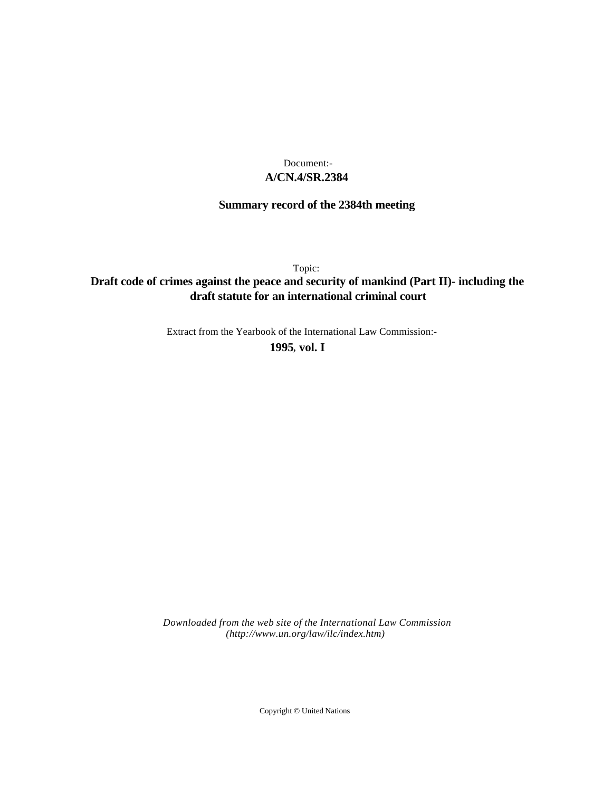# **A/CN.4/SR.2384** Document:-

# **Summary record of the 2384th meeting**

Topic:

# **Draft code of crimes against the peace and security of mankind (Part II)- including the draft statute for an international criminal court**

Extract from the Yearbook of the International Law Commission:-

**1995** , **vol. I**

*Downloaded from the web site of the International Law Commission (http://www.un.org/law/ilc/index.htm)*

Copyright © United Nations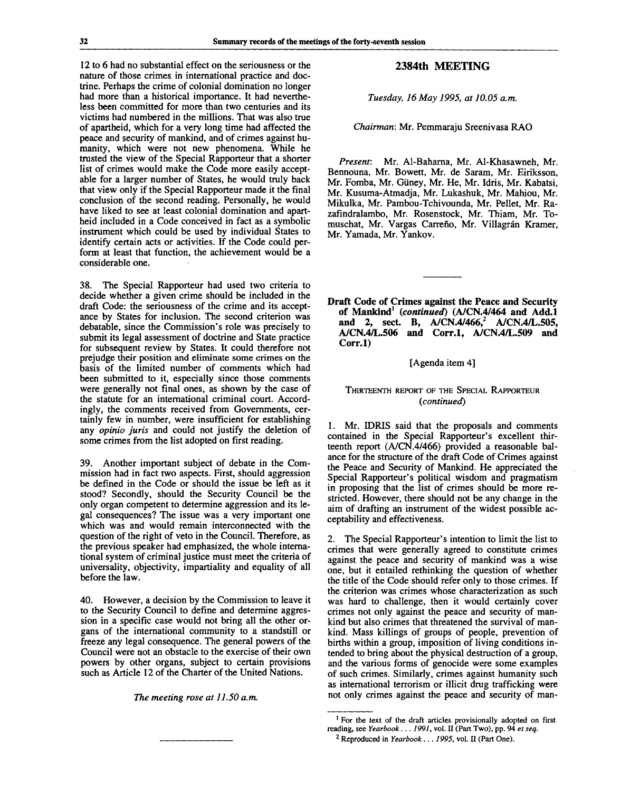12 to 6 had no substantial effect on the seriousness or the nature of those crimes in international practice and doctrine. Perhaps the crime of colonial domination no longer had more than a historical importance. It had nevertheless been committed for more than two centuries and its victims had numbered in the millions. That was also true of apartheid, which for a very long time had affected the peace and security of mankind, and of crimes against humanity, which were not new phenomena. While he trusted the view of the Special Rapporteur that a shorter list of crimes would make the Code more easily acceptable for a larger number of States, he would truly back that view only if the Special Rapporteur made it the final conclusion of the second reading. Personally, he would have liked to see at least colonial domination and apartheid included in a Code conceived in fact as a symbolic instrument which could be used by individual States to identify certain acts or activities. If the Code could perform at least that function, the achievement would be a considerable one.

38. The Special Rapporteur had used two criteria to decide whether a given crime should be included in the draft Code: the seriousness of the crime and its acceptance by States for inclusion. The second criterion was debatable, since the Commission's role was precisely to submit its legal assessment of doctrine and State practice for subsequent review by States. It could therefore not prejudge their position and eliminate some crimes on the basis of the limited number of comments which had been submitted to it, especially since those comments were generally not final ones, as shown by the case of the statute for an international criminal court. Accordingly, the comments received from Governments, certainly few in number, were insufficient for establishing any *opinio juris* and could not justify the deletion of some crimes from the list adopted on first reading.

39. Another important subject of debate in the Commission had in fact two aspects. First, should aggression be defined in the Code or should the issue be left as it stood? Secondly, should the Security Council be the only organ competent to determine aggression and its legal consequences? The issue was a very important one which was and would remain interconnected with the question of the right of veto in the Council. Therefore, as the previous speaker had emphasized, the whole international system of criminal justice must meet the criteria of universality, objectivity, impartiality and equality of all before the law.

40. However, a decision by the Commission to leave it to the Security Council to define and determine aggression in a specific case would not bring all the other organs of the international community to a standstill or freeze any legal consequence. The general powers of the Council were not an obstacle to the exercise of their own powers by other organs, subject to certain provisions such as Article 12 of the Charter of the United Nations.

*The meeting rose at 11.50 a.m.*

# **2384th MEETING**

*Tuesday, 16 May 1995, at 10.05 a.m.*

*Chairman:* Mr. Pemmaraju Sreenivasa RAO

*Present:* Mr. Al-Baharna, Mr. Al-Khasawneh, Mr. Bennouna, Mr. Bowett, Mr. de Saram, Mr. Eiriksson, Mr. Fomba, Mr. Giiney, Mr. He, Mr. Idris, Mr. Kabatsi, Mr. Kusuma-Atmadja, Mr. Lukashuk, Mr. Mahiou, Mr. Mikulka, Mr. Pambou-Tchivounda, Mr. Pellet, Mr. Razafindralambo, Mr. Rosenstock, Mr. Thiam, Mr. Tomuschat, Mr. Vargas Carreño, Mr. Villagrán Kramer, Mr. Yamada, Mr. Yankov.

**Draft Code of Crimes against the Peace and Security of Mankind<sup>1</sup>**  *{continued)* **(A/CN.4/464 and Add.l and 2, sect. B, A/CN.4/466,<sup>2</sup> A/CN.4/L.505, A/CN.4/L.506 and Corr.l, A/CN.4/L.509 and Corr.l)**

#### [Agenda item 4]

#### THIRTEENTH REPORT OF THE SPECIAL RAPPORTEUR *{continued)*

1. Mr. IDRIS said that the proposals and comments contained in the Special Rapporteur's excellent thirteenth report (A/CN.4/466) provided a reasonable balance for the structure of the draft Code of Crimes against the Peace and Security of Mankind. He appreciated the Special Rapporteur's political wisdom and pragmatism in proposing that the list of crimes should be more restricted. However, there should not be any change in the aim of drafting an instrument of the widest possible acceptability and effectiveness.

2. The Special Rapporteur's intention to limit the list to crimes that were generally agreed to constitute crimes against the peace and security of mankind was a wise one, but it entailed rethinking the question of whether the title of the Code should refer only to those crimes. If the criterion was crimes whose characterization as such was hard to challenge, then it would certainly cover crimes not only against the peace and security of mankind but also crimes that threatened the survival of mankind. Mass killings of groups of people, prevention of births within a group, imposition of living conditions intended to bring about the physical destruction of a group, and the various forms of genocide were some examples of such crimes. Similarly, crimes against humanity such as international terrorism or illicit drug trafficking were not only crimes against the peace and security of man-

<sup>&</sup>lt;sup>1</sup> For the text of the draft articles provisionally adopted on first reading, see *Yearbook ..*. 7997, vol. II (Part Two), pp. 94 *et seq.*

<sup>2</sup> Reproduced in *Yearbook*... 7995, vol. II (Part One).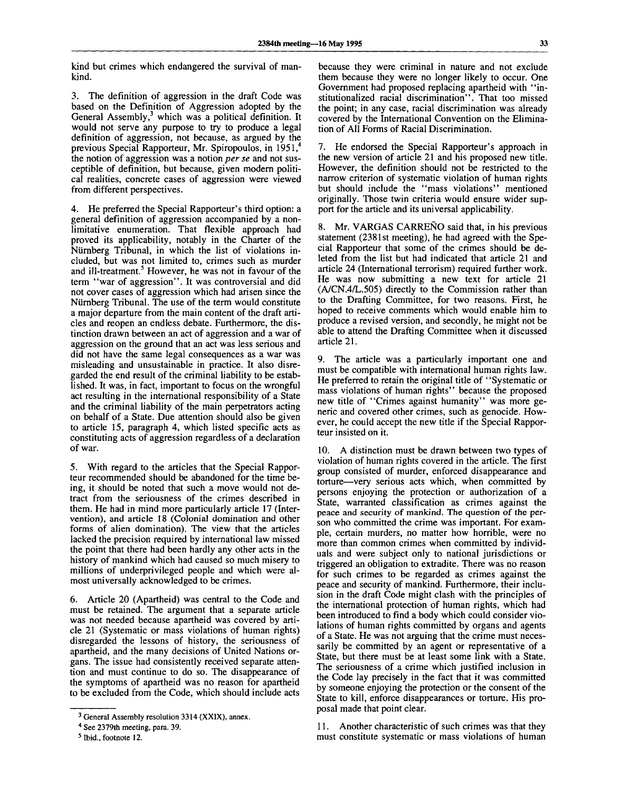kind but crimes which endangered the survival of mankind.

3. The definition of aggression in the draft Code was based on the Definition of Aggression adopted by the General Assembly,<sup>3</sup> which was a political definition. It would not serve any purpose to try to produce a legal definition of aggression, not because, as argued by the previous Special Rapporteur, Mr. Spiropoulos, in 1951,<sup>4</sup> the notion of aggression was a notion *per se* and not susceptible of definition, but because, given modern political realities, concrete cases of aggression were viewed from different perspectives.

4. He preferred the Special Rapporteur's third option: a general definition of aggression accompanied by a nonlimitative enumeration. That flexible approach had proved its applicability, notably in the Charter of the Niirnberg Tribunal, in which the list of violations included, but was not limited to, crimes such as murder and ill-treatment.<sup>5</sup> However, he was not in favour of the term "war of aggression". It was controversial and did not cover cases of aggression which had arisen since the Niirnberg Tribunal. The use of the term would constitute a major departure from the main content of the draft articles and reopen an endless debate. Furthermore, the distinction drawn between an act of aggression and a war of aggression on the ground that an act was less serious and did not have the same legal consequences as a war was misleading and unsustainable in practice. It also disregarded the end result of the criminal liability to be established. It was, in fact, important to focus on the wrongful act resulting in the international responsibility of a State and the criminal liability of the main perpetrators acting on behalf of a State. Due attention should also be given to article 15, paragraph 4, which listed specific acts as constituting acts of aggression regardless of a declaration of war.

5. With regard to the articles that the Special Rapporteur recommended should be abandoned for the time being, it should be noted that such a move would not detract from the seriousness of the crimes described in them. He had in mind more particularly article 17 (Intervention), and article 18 (Colonial domination and other forms of alien domination). The view that the articles lacked the precision required by international law missed the point that there had been hardly any other acts in the history of mankind which had caused so much misery to millions of underprivileged people and which were almost universally acknowledged to be crimes.

6. Article 20 (Apartheid) was central to the Code and must be retained. The argument that a separate article was not needed because apartheid was covered by article 21 (Systematic or mass violations of human rights) disregarded the lessons of history, the seriousness of apartheid, and the many decisions of United Nations organs. The issue had consistently received separate attention and must continue to do so. The disappearance of the symptoms of apartheid was no reason for apartheid to be excluded from the Code, which should include acts

because they were criminal in nature and not exclude them because they were no longer likely to occur. One Government had proposed replacing apartheid with "institutionalized racial discrimination". That too missed the point; in any case, racial discrimination was already covered by the International Convention on the Elimination of All Forms of Racial Discrimination.

7. He endorsed the Special Rapporteur's approach in the new version of article 21 and his proposed new title. However, the definition should not be restricted to the narrow criterion of systematic violation of human rights but should include the "mass violations" mentioned originally. Those twin criteria would ensure wider support for the article and its universal applicability.

8. Mr. VARGAS CARRENO said that, in his previous statement (2381st meeting), he had agreed with the Special Rapporteur that some of the crimes should be deleted from the list but had indicated that article 21 and article 24 (International terrorism) required further work. He was now submitting a new text for article 21 (A/CN.4/L.505) directly to the Commission rather than to the Drafting Committee, for two reasons. First, he hoped to receive comments which would enable him to produce a revised version, and secondly, he might not be able to attend the Drafting Committee when it discussed article 21.

9. The article was a particularly important one and must be compatible with international human rights law. He preferred to retain the original title of "Systematic or mass violations of human rights" because the proposed new title of "Crimes against humanity" was more generic and covered other crimes, such as genocide. However, he could accept the new title if the Special Rapporteur insisted on it.

10. A distinction must be drawn between two types of violation of human rights covered in the article. The first group consisted of murder, enforced disappearance and torture—very serious acts which, when committed by persons enjoying the protection or authorization of a State, warranted classification as crimes against the peace and security of mankind. The question of the person who committed the crime was important. For example, certain murders, no matter how horrible, were no more than common crimes when committed by individuals and were subject only to national jurisdictions or triggered an obligation to extradite. There was no reason for such crimes to be regarded as crimes against the peace and security of mankind. Furthermore, their inclusion in the draft Code might clash with the principles of the international protection of human rights, which had been introduced to find a body which could consider violations of human rights committed by organs and agents of a State. He was not arguing that the crime must necessarily be committed by an agent or representative of a State, but there must be at least some link with a State. The seriousness of a crime which justified inclusion in the Code lay precisely in the fact that it was committed by someone enjoying the protection or the consent of the State to kill, enforce disappearances or torture. His proposal made that point clear.

11. Another characteristic of such crimes was that they must constitute systematic or mass violations of human

<sup>&</sup>lt;sup>3</sup> General Assembly resolution 3314 (XXIX), annex.

<sup>4</sup> See 2379th meeting, para. 39.

<sup>5</sup> Ibid., footnote 12.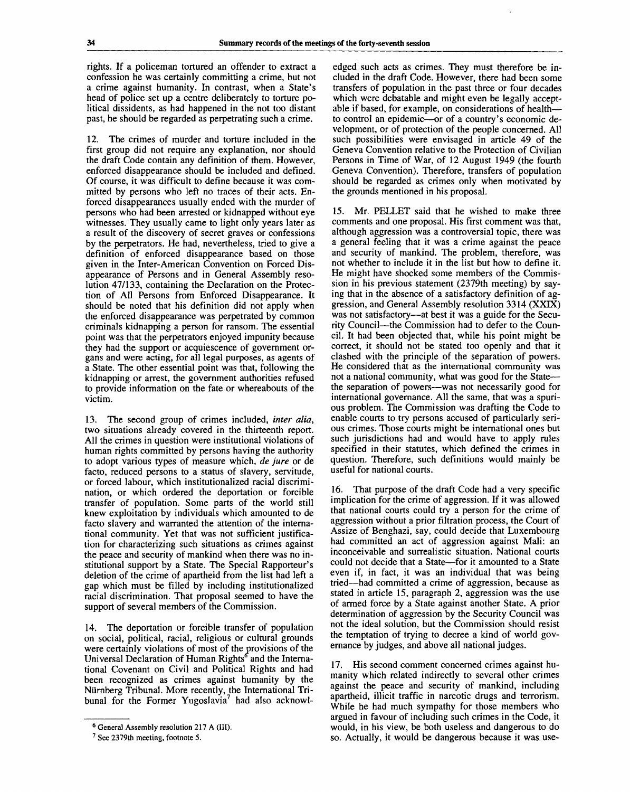rights. If a policeman tortured an offender to extract a confession he was certainly committing a crime, but not a crime against humanity. In contrast, when a State's head of police set up a centre deliberately to torture political dissidents, as had happened in the not too distant past, he should be regarded as perpetrating such a crime.

12. The crimes of murder and torture included in the first group did not require any explanation, nor should the draft Code contain any definition of them. However, enforced disappearance should be included and defined. Of course, it was difficult to define because it was committed by persons who left no traces of their acts. Enforced disappearances usually ended with the murder of persons who had been arrested or kidnapped without eye witnesses. They usually came to light only years later as a result of the discovery of secret graves or confessions by the perpetrators. He had, nevertheless, tried to give a definition of enforced disappearance based on those given in the Inter-American Convention on Forced Disappearance of Persons and in General Assembly resolution 47/133, containing the Declaration on the Protection of All Persons from Enforced Disappearance. It should be noted that his definition did not apply when the enforced disappearance was perpetrated by common criminals kidnapping a person for ransom. The essential point was that the perpetrators enjoyed impunity because they had the support or acquiescence of government organs and were acting, for all legal purposes, as agents of a State. The other essential point was that, following the kidnapping or arrest, the government authorities refused to provide information on the fate or whereabouts of the victim.

13. The second group of crimes included, *inter alia,* two situations already covered in the thirteenth report. All the crimes in question were institutional violations of human rights committed by persons having the authority to adopt various types of measure which, *de jure* or de facto, reduced persons to a status of slavery, servitude, or forced labour, which institutionalized racial discrimination, or which ordered the deportation or forcible transfer of population. Some parts of the world still knew exploitation by individuals which amounted to de facto slavery and warranted the attention of the international community. Yet that was not sufficient justification for characterizing such situations as crimes against the peace and security of mankind when there was no institutional support by a State. The Special Rapporteur's deletion of the crime of apartheid from the list had left a gap which must be filled by including institutionalized racial discrimination. That proposal seemed to have the support of several members of the Commission.

14. The deportation or forcible transfer of population on social, political, racial, religious or cultural grounds were certainly violations of most of the provisions of the Universal Declaration of Human Rights<sup>o</sup> and the International Covenant on Civil and Political Rights and had been recognized as crimes against humanity by the Niirnberg Tribunal. More recently, the International Tribunal for the Former Yugoslavia<sup>7</sup> had also acknowl-

edged such acts as crimes. They must therefore be included in the draft Code. However, there had been some transfers of population in the past three or four decades which were debatable and might even be legally acceptable if based, for example, on considerations of health to control an epidemic—or of a country's economic development, or of protection of the people concerned. All such possibilities were envisaged in article 49 of the Geneva Convention relative to the Protection of Civilian Persons in Time of War, of 12 August 1949 (the fourth Geneva Convention). Therefore, transfers of population should be regarded as crimes only when motivated by the grounds mentioned in his proposal.

15. Mr. PELLET said that he wished to make three comments and one proposal. His first comment was that, although aggression was a controversial topic, there was a general feeling that it was a crime against the peace and security of mankind. The problem, therefore, was not whether to include it in the list but how to define it. He might have shocked some members of the Commission in his previous statement (2379th meeting) by saying that in the absence of a satisfactory definition of aggression, and General Assembly resolution 3314 (XXIX) was not satisfactory—at best it was a guide for the Security Council—the Commission had to defer to the Council. It had been objected that, while his point might be correct, it should not be stated too openly and that it clashed with the principle of the separation of powers. He considered that as the international community was not a national community, what was good for the State the separation of powers—was not necessarily good for international governance. All the same, that was a spurious problem. The Commission was drafting the Code to enable courts to try persons accused of particularly serious crimes. Those courts might be international ones but such jurisdictions had and would have to apply rules specified in their statutes, which defined the crimes in question. Therefore, such definitions would mainly be useful for national courts.

16. That purpose of the draft Code had a very specific implication for the crime of aggression. If it was allowed that national courts could try a person for the crime of aggression without a prior filtration process, the Court of Assize of Benghazi, say, could decide that Luxembourg had committed an act of aggression against Mali: an inconceivable and surrealistic situation. National courts could not decide that a State—for it amounted to a State even if, in fact, it was an individual that was being tried—had committed a crime of aggression, because as stated in article 15, paragraph 2, aggression was the use of armed force by a State against another State. A prior determination of aggression by the Security Council was not the ideal solution, but the Commission should resist the temptation of trying to decree a kind of world governance by judges, and above all national judges.

17. His second comment concerned crimes against humanity which related indirectly to several other crimes against the peace and security of mankind, including apartheid, illicit traffic in narcotic drugs and terrorism. While he had much sympathy for those members who argued in favour of including such crimes in the Code, it would, in his view, be both useless and dangerous to do so. Actually, it would be dangerous because it was use-

<sup>&</sup>lt;sup>6</sup> General Assembly resolution 217 A (III).

<sup>&</sup>lt;sup>7</sup> See 2379th meeting, footnote 5.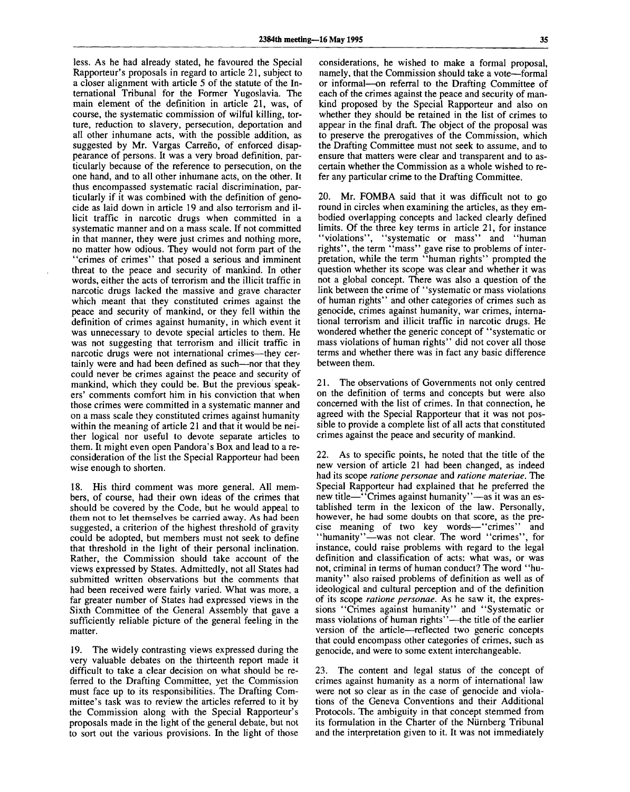less. As he had already stated, he favoured the Special Rapporteur's proposals in regard to article 21, subject to a closer alignment with article 5 of the statute of the International Tribunal for the Former Yugoslavia. The main element of the definition in article 21, was, of course, the systematic commission of wilful killing, torture, reduction to slavery, persecution, deportation and all other inhumane acts, with the possible addition, as suggested by Mr. Vargas Carreño, of enforced disappearance of persons. It was a very broad definition, particularly because of the reference to persecution, on the one hand, and to all other inhumane acts, on the other. It thus encompassed systematic racial discrimination, particularly if it was combined with the definition of genocide as laid down in article 19 and also terrorism and illicit traffic in narcotic drugs when committed in a systematic manner and on a mass scale. If not committed in that manner, they were just crimes and nothing more, no matter how odious. They would not form part of the "crimes of crimes" that posed a serious and imminent threat to the peace and security of mankind. In other words, either the acts of terrorism and the illicit traffic in narcotic drugs lacked the massive and grave character which meant that they constituted crimes against the peace and security of mankind, or they fell within the definition of crimes against humanity, in which event it was unnecessary to devote special articles to them. He was not suggesting that terrorism and illicit traffic in narcotic drugs were not international crimes—they certainly were and had been defined as such—nor that they could never be crimes against the peace and security of mankind, which they could be. But the previous speakers' comments comfort him in his conviction that when those crimes were committed in a systematic manner and on a mass scale they constituted crimes against humanity within the meaning of article 21 and that it would be neither logical nor useful to devote separate articles to them. It might even open Pandora's Box and lead to a reconsideration of the list the Special Rapporteur had been wise enough to shorten.

18. His third comment was more general. All members, of course, had their own ideas of the crimes that should be covered by the Code, but he would appeal to them not to let themselves be carried away. As had been suggested, a criterion of the highest threshold of gravity could be adopted, but members must not seek to define that threshold in the light of their personal inclination. Rather, the Commission should take account of the views expressed by States. Admittedly, not all States had submitted written observations but the comments that had been received were fairly varied. What was more, a far greater number of States had expressed views in the Sixth Committee of the General Assembly that gave a sufficiently reliable picture of the general feeling in the matter.

19. The widely contrasting views expressed during the very valuable debates on the thirteenth report made it difficult to take a clear decision on what should be referred to the Drafting Committee, yet the Commission must face up to its responsibilities. The Drafting Committee's task was to review the articles referred to it by the Commission along with the Special Rapporteur's proposals made in the light of the general debate, but not to sort out the various provisions. In the light of those

considerations, he wished to make a formal proposal, namely, that the Commission should take a vote—formal or informal—on referral to the Drafting Committee of each of the crimes against the peace and security of mankind proposed by the Special Rapporteur and also on whether they should be retained in the list of crimes to appear in the final draft. The object of the proposal was to preserve the prerogatives of the Commission, which the Drafting Committee must not seek to assume, and to ensure that matters were clear and transparent and to ascertain whether the Commission as a whole wished to refer any particular crime to the Drafting Committee.

20. Mr. FOMBA said that it was difficult not to go round in circles when examining the articles, as they embodied overlapping concepts and lacked clearly defined limits. Of the three key terms in article 21, for instance "violations", "systematic or mass" and "human rights", the term "mass" gave rise to problems of interpretation, while the term "human rights" prompted the question whether its scope was clear and whether it was not a global concept. There was also a question of the link between the crime of "systematic or mass violations of human rights" and other categories of crimes such as genocide, crimes against humanity, war crimes, international terrorism and illicit traffic in narcotic drugs. He wondered whether the generic concept of "systematic or mass violations of human rights" did not cover all those terms and whether there was in fact any basic difference between them.

21. The observations of Governments not only centred on the definition of terms and concepts but were also concerned with the list of crimes. In that connection, he agreed with the Special Rapporteur that it was not possible to provide a complete list of all acts that constituted crimes against the peace and security of mankind.

22. As to specific points, he noted that the title of the new version of article 21 had been changed, as indeed had its scope *ratione personae* and *ratione materiae.* The Special Rapporteur had explained that he preferred the new title—"Crimes against humanity"—as it was an established term in the lexicon of the law. Personally, however, he had some doubts on that score, as the precise meaning of two key words—"crimes" and "humanity"—was not clear. The word "crimes", for instance, could raise problems with regard to the legal definition and classification of acts: what was, or was not, criminal in terms of human conduct? The word "humanity" also raised problems of definition as well as of ideological and cultural perception and of the definition of its scope *ratione personae.* As he saw it, the expressions "Crimes against humanity" and "Systematic or mass violations of human rights"—the title of the earlier version of the article—reflected two generic concepts that could encompass other categories of crimes, such as genocide, and were to some extent interchangeable.

23. The content and legal status of the concept of crimes against humanity as a norm of international law were not so clear as in the case of genocide and violations of the Geneva Conventions and their Additional Protocols. The ambiguity in that concept stemmed from its formulation in the Charter of the Niirnberg Tribunal and the interpretation given to it. It was not immediately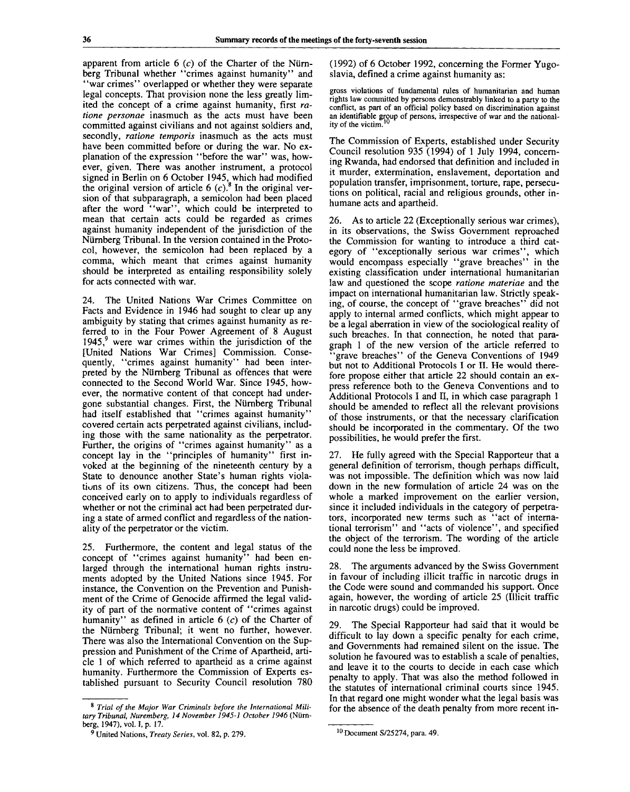apparent from article  $6$  (c) of the Charter of the Nürnberg Tribunal whether "crimes against humanity" and "war crimes" overlapped or whether they were separate legal concepts. That provision none the less greatly limited the concept of a crime against humanity, first *ratione personae* inasmuch as the acts must have been committed against civilians and not against soldiers and, secondly, *ratione temporis* inasmuch as the acts must have been committed before or during the war. No explanation of the expression "before the war" was, however, given. There was another instrument, a protocol signed in Berlin on 6 October 1945, which had modified the original version of article  $6$  (c).<sup>8</sup> In the original version of that subparagraph, a semicolon had been placed after the word "war", which could be interpreted to mean that certain acts could be regarded as crimes against humanity independent of the jurisdiction of the Niirnberg Tribunal. In the version contained in the Protocol, however, the semicolon had been replaced by a comma, which meant that crimes against humanity should be interpreted as entailing responsibility solely for acts connected with war.

24. The United Nations War Crimes Committee on Facts and Evidence in 1946 had sought to clear up any ambiguity by stating that crimes against humanity as referred to in the Four Power Agreement of 8 August 1945,<sup>9</sup> were war crimes within the jurisdiction of the [United Nations War Crimes] Commission. Consequently, "crimes against humanity" had been interpreted by the Niirnberg Tribunal as offences that were connected to the Second World War. Since 1945, however, the normative content of that concept had undergone substantial changes. First, the Niirnberg Tribunal had itself established that "crimes against humanity" covered certain acts perpetrated against civilians, including those with the same nationality as the perpetrator. Further, the origins of "crimes against humanity" as a concept lay in the "principles of humanity" first invoked at the beginning of the nineteenth century by a State to denounce another State's human rights violations of its own citizens. Thus, the concept had been conceived early on to apply to individuals regardless of whether or not the criminal act had been perpetrated during a state of armed conflict and regardless of the nationality of the perpetrator or the victim.

25. Furthermore, the content and legal status of the concept of "crimes against humanity" had been enlarged through the international human rights instruments adopted by the United Nations since 1945. For instance, the Convention on the Prevention and Punishment of the Crime of Genocide affirmed the legal validity of part of the normative content of "crimes against" humanity" as defined in article 6 *(c)* of the Charter of the Niirnberg Tribunal; it went no further, however. There was also the International Convention on the Suppression and Punishment of the Crime of Apartheid, article 1 of which referred to apartheid as a crime against humanity. Furthermore the Commission of Experts established pursuant to Security Council resolution 780 (1992) of 6 October 1992, concerning the Former Yugoslavia, defined a crime against humanity as:

gross violations of fundamental rules of humanitarian and human rights law committed by persons demonstrably linked to a party to the conflict, as part of an official policy based on discrimination against an identifiable group of persons, irrespective of war and the national-**10** ity of the victim.'

The Commission of Experts, established under Security Council resolution 935 (1994) of 1 July 1994, concerning Rwanda, had endorsed that definition and included in it murder, extermination, enslavement, deportation and population transfer, imprisonment, torture, rape, persecutions on political, racial and religious grounds, other inhumane acts and apartheid.

26. As to article 22 (Exceptionally serious war crimes), in its observations, the Swiss Government reproached the Commission for wanting to introduce a third category of "exceptionally serious war crimes", which would encompass especially "grave breaches" in the existing classification under international humanitarian law and questioned the scope *ratione materiae* and the impact on international humanitarian law. Strictly speaking, of course, the concept of "grave breaches" did not apply to internal armed conflicts, which might appear to be a legal aberration in view of the sociological reality of such breaches. In that connection, he noted that paragraph 1 of the new version of the article referred to 'grave breaches'' of the Geneva Conventions of 1949 but not to Additional Protocols I or II. He would therefore propose either that article 22 should contain an express reference both to the Geneva Conventions and to Additional Protocols I and II, in which case paragraph 1 should be amended to reflect all the relevant provisions of those instruments, or that the necessary clarification should be incorporated in the commentary. Of the two possibilities, he would prefer the first.

27. He fully agreed with the Special Rapporteur that a general definition of terrorism, though perhaps difficult, was not impossible. The definition which was now laid down in the new formulation of article 24 was on the whole a marked improvement on the earlier version, since it included individuals in the category of perpetrators, incorporated new terms such as "act of international terrorism" and "acts of violence", and specified the object of the terrorism. The wording of the article could none the less be improved.

28. The arguments advanced by the Swiss Government in favour of including illicit traffic in narcotic drugs in the Code were sound and commanded his support. Once again, however, the wording of article 25 (Illicit traffic in narcotic drugs) could be improved.

29. The Special Rapporteur had said that it would be difficult to lay down a specific penalty for each crime, and Governments had remained silent on the issue. The solution he favoured was to establish a scale of penalties, and leave it to the courts to decide in each case which penalty to apply. That was also the method followed in the statutes of international criminal courts since 1945. In that regard one might wonder what the legal basis was for the absence of the death penalty from more recent in-

<sup>8</sup>  *Trial of the Major War Criminals before the International Military Tribunal, Nuremberg, 14 November 1945-1 October 1946* (Niirnberg, 1947), vol. I, p. 17.

<sup>9</sup> United Nations, *Treaty Series,* vol. 82, p. 279.

<sup>10</sup> Document S/25274, para. 49.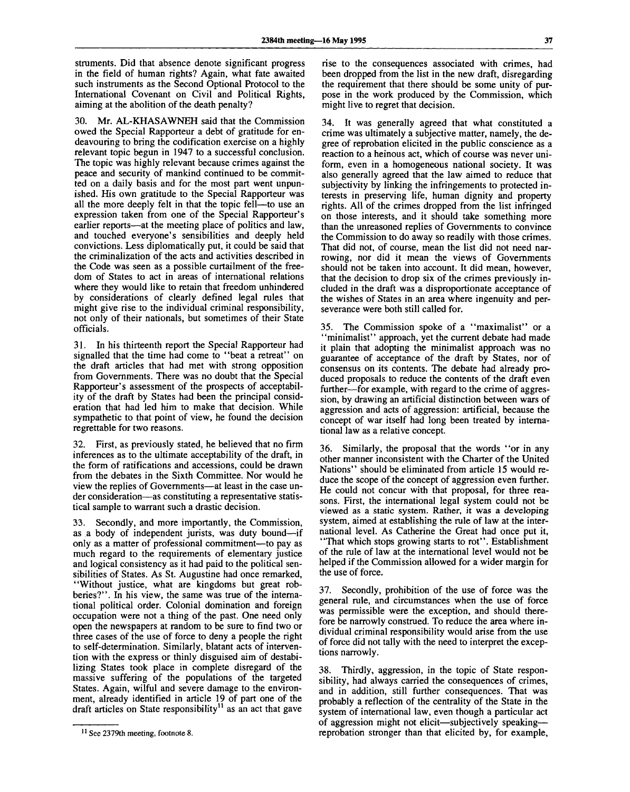struments. Did that absence denote significant progress in the field of human rights? Again, what fate awaited such instruments as the Second Optional Protocol to the International Covenant on Civil and Political Rights, aiming at the abolition of the death penalty?

30. Mr. AL-KHASAWNEH said that the Commission owed the Special Rapporteur a debt of gratitude for endeavouring to bring the codification exercise on a highly relevant topic begun in 1947 to a successful conclusion. The topic was highly relevant because crimes against the peace and security of mankind continued to be committed on a daily basis and for the most part went unpunished. His own gratitude to the Special Rapporteur was all the more deeply felt in that the topic fell—to use an expression taken from one of the Special Rapporteur's earlier reports—at the meeting place of politics and law, and touched everyone's sensibilities and deeply held convictions. Less diplomatically put, it could be said that the criminalization of the acts and activities described in the Code was seen as a possible curtailment of the freedom of States to act in areas of international relations where they would like to retain that freedom unhindered by considerations of clearly defined legal rules that might give rise to the individual criminal responsibility, not only of their nationals, but sometimes of their State officials.

31. In his thirteenth report the Special Rapporteur had signalled that the time had come to "beat a retreat" on the draft articles that had met with strong opposition from Governments. There was no doubt that the Special Rapporteur's assessment of the prospects of acceptability of the draft by States had been the principal consideration that had led him to make that decision. While sympathetic to that point of view, he found the decision regrettable for two reasons.

32. First, as previously stated, he believed that no firm inferences as to the ultimate acceptability of the draft, in the form of ratifications and accessions, could be drawn from the debates in the Sixth Committee. Nor would he view the replies of Governments—at least in the case under consideration—as constituting a representative statistical sample to warrant such a drastic decision.

33. Secondly, and more importantly, the Commission, as a body of independent jurists, was duty bound—if only as a matter of professional commitment—to pay as much regard to the requirements of elementary justice and logical consistency as it had paid to the political sensibilities of States. As St. Augustine had once remarked, "Without justice, what are kingdoms but great robberies?". In his view, the same was true of the international political order. Colonial domination and foreign occupation were not a thing of the past. One need only open the newspapers at random to be sure to find two or three cases of the use of force to deny a people the right to self-determination. Similarly, blatant acts of intervention with the express or thinly disguised aim of destabilizing States took place in complete disregard of the massive suffering of the populations of the targeted States. Again, wilful and severe damage to the environment, already identified in article 19 of part one of the  $\frac{d}{dt}$  and  $\frac{d}{dt}$  is chinned in afteled 12 of part one of the direction of the direction of the direction of the direction of the direction of the direction of the direction of the direction of the direction of the

rise to the consequences associated with crimes, had been dropped from the list in the new draft, disregarding the requirement that there should be some unity of purpose in the work produced by the Commission, which might live to regret that decision.

34. It was generally agreed that what constituted a crime was ultimately a subjective matter, namely, the degree of reprobation elicited in the public conscience as a reaction to a heinous act, which of course was never uniform, even in a homogeneous national society. It was also generally agreed that the law aimed to reduce that subjectivity by linking the infringements to protected interests in preserving life, human dignity and property rights. All of the crimes dropped from the list infringed on those interests, and it should take something more than the unreasoned replies of Governments to convince the Commission to do away so readily with those crimes. That did not, of course, mean the list did not need narrowing, nor did it mean the views of Governments should not be taken into account. It did mean, however, that the decision to drop six of the crimes previously included in the draft was a disproportionate acceptance of the wishes of States in an area where ingenuity and perseverance were both still called for.

35. The Commission spoke of a "maximalist" or a "minimalist" approach, yet the current debate had made it plain that adopting the minimalist approach was no guarantee of acceptance of the draft by States, nor of consensus on its contents. The debate had already produced proposals to reduce the contents of the draft even further—for example, with regard to the crime of aggression, by drawing an artificial distinction between wars of aggression and acts of aggression: artificial, because the concept of war itself had long been treated by international law as a relative concept.

36. Similarly, the proposal that the words "or in any other manner inconsistent with the Charter of the United Nations" should be eliminated from article 15 would reduce the scope of the concept of aggression even further. He could not concur with that proposal, for three reasons. First, the international legal system could not be viewed as a static system. Rather, it was a developing system, aimed at establishing the rule of law at the international level. As Catherine the Great had once put it, "That which stops growing starts to rot". Establishment of the rule of law at the international level would not be helped if the Commission allowed for a wider margin for the use of force.

37. Secondly, prohibition of the use of force was the general rule, and circumstances when the use of force was permissible were the exception, and should therefore be narrowly construed. To reduce the area where individual criminal responsibility would arise from the use of force did not tally with the need to interpret the exceptions narrowly.

38. Thirdly, aggression, in the topic of State responsibility, had always carried the consequences of crimes, and in addition, still further consequences. That was probably a reflection of the centrality of the State in the system of international law, even though a particular act of aggression might not elicit—subjectively speaking reprobation stronger than that elicited by, for example,

<sup>&</sup>lt;sup>11</sup> See 2379th meeting, footnote 8.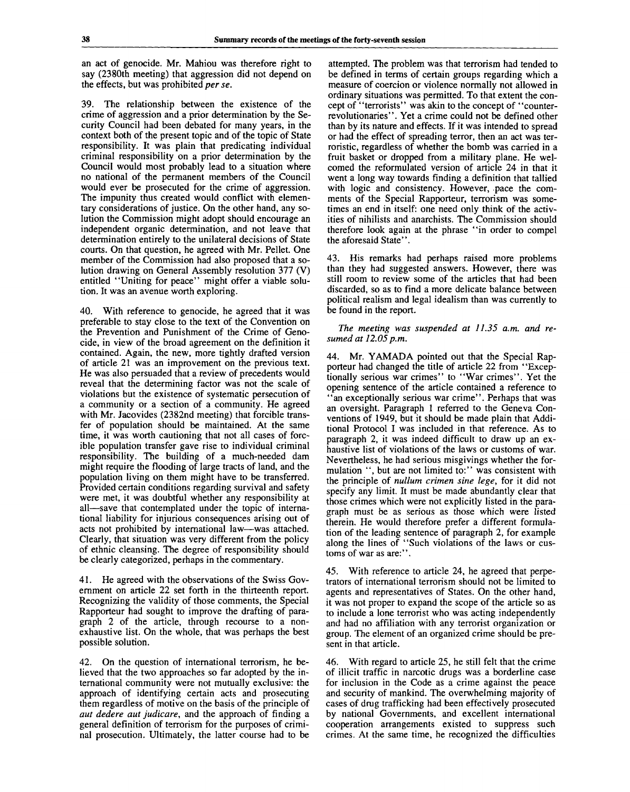an act of genocide. Mr. Mahiou was therefore right to say (2380th meeting) that aggression did not depend on the effects, but was prohibited per *se.*

39. The relationship between the existence of the crime of aggression and a prior determination by the Security Council had been debated for many years, in the context both of the present topic and of the topic of State responsibility. It was plain that predicating individual criminal responsibility on a prior determination by the Council would most probably lead to a situation where no national of the permanent members of the Council would ever be prosecuted for the crime of aggression. The impunity thus created would conflict with elementary considerations of justice. On the other hand, any solution the Commission might adopt should encourage an independent organic determination, and not leave that determination entirely to the unilateral decisions of State courts. On that question, he agreed with Mr. Pellet. One member of the Commission had also proposed that a solution drawing on General Assembly resolution 377 (V) entitled "Uniting for peace" might offer a viable solution. It was an avenue worth exploring.

40. With reference to genocide, he agreed that it was preferable to stay close to the text of the Convention on the Prevention and Punishment of the Crime of Genocide, in view of the broad agreement on the definition it contained. Again, the new, more tightly drafted version of article 21 was an improvement on the previous text. He was also persuaded that a review of precedents would reveal that the determining factor was not the scale of violations but the existence of systematic persecution of a community or a section of a community. He agreed with Mr. Jacovides (2382nd meeting) that forcible transfer of population should be maintained. At the same time, it was worth cautioning that not all cases of forcible population transfer gave rise to individual criminal responsibility. The building of a much-needed dam might require the flooding of large tracts of land, and the population living on them might have to be transferred. Provided certain conditions regarding survival and safety were met, it was doubtful whether any responsibility at all—save that contemplated under the topic of international liability for injurious consequences arising out of acts not prohibited by international law—was attached. Clearly, that situation was very different from the policy of ethnic cleansing. The degree of responsibility should be clearly categorized, perhaps in the commentary.

41. He agreed with the observations of the Swiss Government on article 22 set forth in the thirteenth report. Recognizing the validity of those comments, the Special Rapporteur had sought to improve the drafting of paragraph 2 of the article, through recourse to a nonexhaustive list. On the whole, that was perhaps the best possible solution.

42. On the question of international terrorism, he believed that the two approaches so far adopted by the international community were not mutually exclusive: the approach of identifying certain acts and prosecuting them regardless of motive on the basis of the principle of *aut dedere aut judicare,* and the approach of finding a general definition of terrorism for the purposes of criminal prosecution. Ultimately, the latter course had to be

attempted. The problem was that terrorism had tended to be defined in terms of certain groups regarding which a measure of coercion or violence normally not allowed in ordinary situations was permitted. To that extent the concept of "terrorists" was akin to the concept of "counterrevolutionaries". Yet a crime could not be defined other than by its nature and effects. If it was intended to spread or had the effect of spreading terror, then an act was terroristic, regardless of whether the bomb was carried in a fruit basket or dropped from a military plane. He welcomed the reformulated version of article 24 in that it went a long way towards finding a definition that tallied with logic and consistency. However, pace the comments of the Special Rapporteur, terrorism was sometimes an end in itself: one need only think of the activities of nihilists and anarchists. The Commission should therefore look again at the phrase "in order to compel the aforesaid State".

43. His remarks had perhaps raised more problems than they had suggested answers. However, there was still room to review some of the articles that had been discarded, so as to find a more delicate balance between political realism and legal idealism than was currently to be found in the report.

*The meeting was suspended at 11.35 a.m. and resumed at 12.05 p.m.*

44. Mr. YAMADA pointed out that the Special Rapporteur had changed the title of article 22 from "Exceptionally serious war crimes" to "War crimes". Yet the opening sentence of the article contained a reference to 'an exceptionally serious war crime''. Perhaps that was an oversight. Paragraph 1 referred to the Geneva Conventions of 1949, but it should be made plain that Additional Protocol I was included in that reference. As to paragraph 2, it was indeed difficult to draw up an exhaustive list of violations of the laws or customs of war. Nevertheless, he had serious misgivings whether the formulation ", but are not limited to:" was consistent with the principle of *nullum crimen sine lege,* for it did not specify any limit. It must be made abundantly clear that those crimes which were not explicitly listed in the paragraph must be as serious as those which were listed therein. He would therefore prefer a different formulation of the leading sentence of paragraph 2, for example along the lines of "Such violations of the laws or customs of war as are:".

45. With reference to article 24, he agreed that perpetrators of international terrorism should not be limited to agents and representatives of States. On the other hand, it was not proper to expand the scope of the article so as to include a lone terrorist who was acting independently and had no affiliation with any terrorist organization or group. The element of an organized crime should be present in that article.

46. With regard to article 25, he still felt that the crime of illicit traffic in narcotic drugs was a borderline case for inclusion in the Code as a crime against the peace and security of mankind. The overwhelming majority of cases of drug trafficking had been effectively prosecuted by national Governments, and excellent international cooperation arrangements existed to suppress such crimes. At the same time, he recognized the difficulties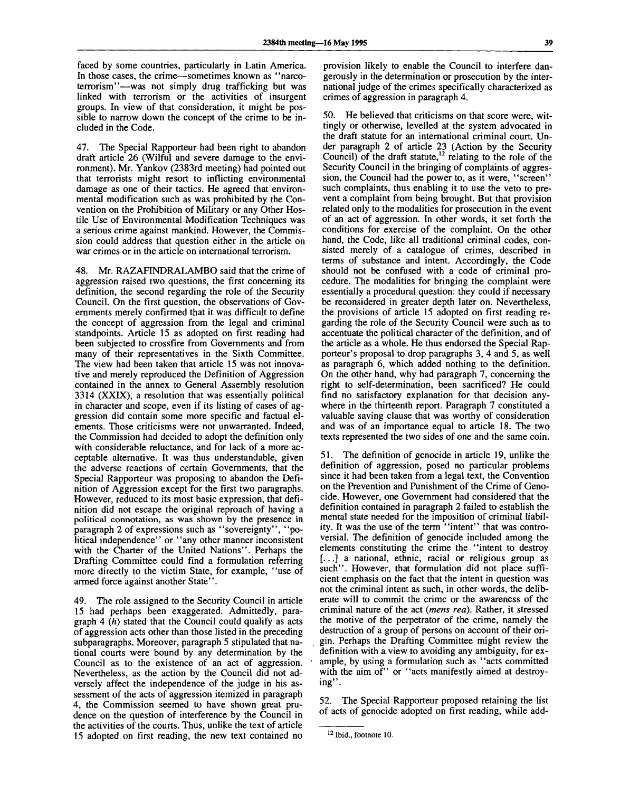faced by some countries, particularly in Latin America. In those cases, the crime—sometimes known as "narcoterrorism"—was not simply drug trafficking but was linked with terrorism or the activities of insurgent groups. In view of that consideration, it might be possible to narrow down the concept of the crime to be included in the Code.

47. The Special Rapporteur had been right to abandon draft article 26 (Wilful and severe damage to the environment). Mr. Yankov (2383rd meeting) had pointed out that terrorists might resort to inflicting environmental damage as one of their tactics. He agreed that environmental modification such as was prohibited by the Convention on the Prohibition of Military or any Other Hostile Use of Environmental Modification Techniques was a serious crime against mankind. However, the Commission could address that question either in the article on war crimes or in the article on international terrorism.

48. Mr. RAZAFINDRALAMBO said that the crime of aggression raised two questions, the first concerning its definition, the second regarding the role of the Security Council. On the first question, the observations of Governments merely confirmed that it was difficult to define the concept of aggression from the legal and criminal standpoints. Article 15 as adopted on first reading had been subjected to crossfire from Governments and from many of their representatives in the Sixth Committee. The view had been taken that article 15 was not innovative and merely reproduced the Definition of Aggression contained in the annex to General Assembly resolution 3314 (XXIX), a resolution that was essentially political in character and scope, even if its listing of cases of aggression did contain some more specific and factual elements. Those criticisms were not unwarranted. Indeed, the Commission had decided to adopt the definition only with considerable reluctance, and for lack of a more acceptable alternative. It was thus understandable, given the adverse reactions of certain Governments, that the Special Rapporteur was proposing to abandon the Definition of Aggression except for the first two paragraphs. However, reduced to its most basic expression, that definition did not escape the original reproach of having a political connotation, as was shown by the presence in paragraph 2 of expressions such as "sovereignty", "political independence" or "any other manner inconsistent with the Charter of the United Nations". Perhaps the Drafting Committee could find a formulation referring more directly to the victim State, for example, "use of armed force against another State".

49. The role assigned to the Security Council in article 15 had perhaps been exaggerated. Admittedly, paragraph 4 *(h)* stated that the Council could qualify as acts of aggression acts other than those listed in the preceding subparagraphs. Moreover, paragraph 5 stipulated that national courts were bound by any determination by the Council as to the existence of an act of aggression. Nevertheless, as the action by the Council did not adversely affect the independence of the judge in his assessment of the acts of aggression itemized in paragraph 4, the Commission seemed to have shown great prudence on the question of interference by the Council in the activities of the courts. Thus, unlike the text of article 15 adopted on first reading, the new text contained no

provision likely to enable the Council to interfere dangerously in the determination or prosecution by the international judge of the crimes specifically characterized as crimes of aggression in paragraph 4.

50. He believed that criticisms on that score were, wittingly or otherwise, levelled at the system advocated in the draft statute for an international criminal court. Under paragraph 2 of article 23 (Action by the Security Council) of the draft statute,<sup>12</sup> relating to the role of the Security Council in the bringing of complaints of aggression, the Council had the power to, as it were, "screen" such complaints, thus enabling it to use the veto to prevent a complaint from being brought. But that provision related only to the modalities for prosecution in the event of an act of aggression. In other words, it set forth the conditions for exercise of the complaint. On the other hand, the Code, like all traditional criminal codes, consisted merely of a catalogue of crimes, described in terms of substance and intent. Accordingly, the Code should not be confused with a code of criminal procedure. The modalities for bringing the complaint were essentially a procedural question: they could if necessary be reconsidered in greater depth later on. Nevertheless, the provisions of article 15 adopted on first reading regarding the role of the Security Council were such as to accentuate the political character of the definition, and of the article as a whole. He thus endorsed the Special Rapporteur's proposal to drop paragraphs 3, 4 and 5, as well as paragraph 6, which added nothing to the definition. On the other hand, why had paragraph 7, concerning the right to self-determination, been sacrificed? He could find no satisfactory explanation for that decision anywhere in the thirteenth report. Paragraph 7 constituted a valuable saving clause that was worthy of consideration and was of an importance equal to article 18. The two texts represented the two sides of one and the same coin.

51. The definition of genocide in article 19, unlike the definition of aggression, posed no particular problems since it had been taken from a legal text, the Convention on the Prevention and Punishment of the Crime of Genocide. However, one Government had considered that the definition contained in paragraph 2 failed to establish the mental state needed for the imposition of criminal liability. It was the use of the term "intent" that was controversial. The definition of genocide included among the elements constituting the crime the "intent to destroy [...] a national, ethnic, racial or religious group as such". However, that formulation did not place sufficient emphasis on the fact that the intent in question was not the criminal intent as such, in other words, the deliberate will to commit the crime or the awareness of the criminal nature of the act *(mens red).* Rather, it stressed the motive of the perpetrator of the crime, namely the destruction of a group of persons on account of their origin. Perhaps the Drafting Committee might review the definition with a view to avoiding any ambiguity, for example, by using a formulation such as "acts committed with the aim of" or "acts manifestly aimed at destroying".

52. The Special Rapporteur proposed retaining the list of acts of genocide adopted on first reading, while add-

**<sup>12</sup> Ibid., footnote 10.**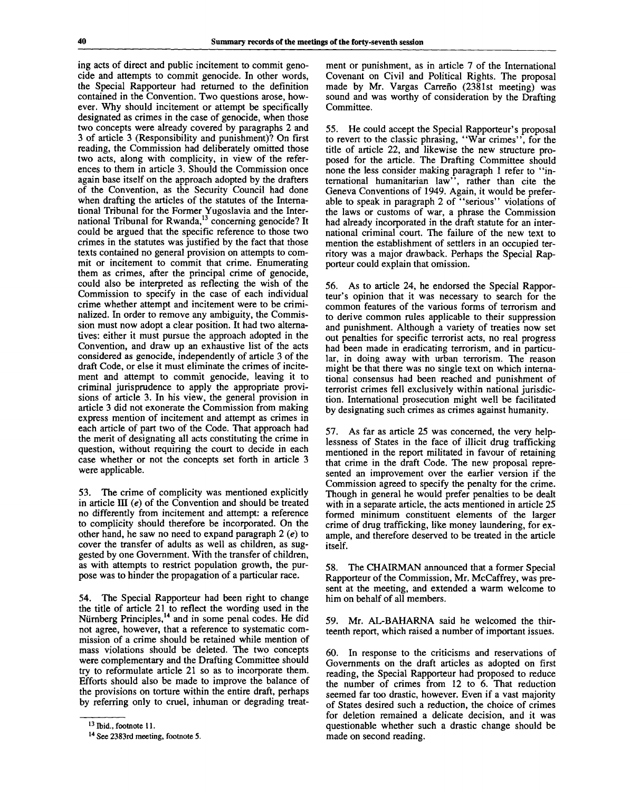ing acts of direct and public incitement to commit genocide and attempts to commit genocide. In other words, the Special Rapporteur had returned to the definition contained in the Convention. Two questions arose, however. Why should incitement or attempt be specifically designated as crimes in the case of genocide, when those two concepts were already covered by paragraphs 2 and 3 of article 3 (Responsibility and punishment)? On first reading, the Commission had deliberately omitted those two acts, along with complicity, in view of the references to them in article 3. Should the Commission once again base itself on the approach adopted by the drafters of the Convention, as the Security Council had done when drafting the articles of the statutes of the International Tribunal for the Former Yugoslavia and the International Tribunal for the 1 official agostavia and the file-<br>national Tribunal for Rwanda,<sup>13</sup> concerning genocide? It could be argued that the specific reference to those two crimes in the statutes was justified by the fact that those texts contained no general provision on attempts to commit or incitement to commit that crime. Enumerating them as crimes, after the principal crime of genocide, could also be interpreted as reflecting the wish of the Commission to specify in the case of each individual crime whether attempt and incitement were to be criminalized. In order to remove any ambiguity, the Commission must now adopt a clear position. It had two alternatives: either it must pursue the approach adopted in the Convention, and draw up an exhaustive list of the acts considered as genocide, independently of article 3 of the draft Code, or else it must eliminate the crimes of incitement and attempt to commit genocide, leaving it to criminal jurisprudence to apply the appropriate provisions of article 3. In his view, the general provision in article 3 did not exonerate the Commission from making express mention of incitement and attempt as crimes in each article of part two of the Code. That approach had the merit of designating all acts constituting the crime in question, without requiring the court to decide in each case whether or not the concepts set forth in article 3 were applicable.

53. The crime of complicity was mentioned explicitly in article  $III$  (e) of the Convention and should be treated no differently from incitement and attempt: a reference to complicity should therefore be incorporated. On the other hand, he saw no need to expand paragraph 2 *(e)* to cover the transfer of adults as well as children, as suggested by one Government. With the transfer of children, as with attempts to restrict population growth, the purpose was to hinder the propagation of a particular race.

54. The Special Rapporteur had been right to change the title of article 21 to reflect the wording used in the Nürnberg Principles,<sup>14</sup> and in some penal codes. He did not agree, however, that a reference to systematic commission of a crime should be retained while mention of mass violations should be deleted. The two concepts were complementary and the Drafting Committee should try to reformulate article 21 so as to incorporate them. Efforts should also be made to improve the balance of the provisions on torture within the entire draft, perhaps by referring only to cruel, inhuman or degrading treatment or punishment, as in article 7 of the International Covenant on Civil and Political Rights. The proposal made by Mr. Vargas Carrefio (2381st meeting) was sound and was worthy of consideration by the Drafting Committee.

55. He could accept the Special Rapporteur's proposal to revert to the classic phrasing, "War crimes", for the title of article 22, and likewise the new structure proposed for the article. The Drafting Committee should none the less consider making paragraph 1 refer to "international humanitarian law", rather than cite the Geneva Conventions of 1949. Again, it would be preferable to speak in paragraph 2 of "serious" violations of the laws or customs of war, a phrase the Commission had already incorporated in the draft statute for an international criminal court. The failure of the new text to mention the establishment of settlers in an occupied territory was a major drawback. Perhaps the Special Rapporteur could explain that omission.

56. As to article 24, he endorsed the Special Rapporteur's opinion that it was necessary to search for the common features of the various forms of terrorism and to derive common rules applicable to their suppression and punishment. Although a variety of treaties now set out penalties for specific terrorist acts, no real progress had been made in eradicating terrorism, and in particular, in doing away with urban terrorism. The reason might be that there was no single text on which international consensus had been reached and punishment of terrorist crimes fell exclusively within national jurisdiction. International prosecution might well be facilitated by designating such crimes as crimes against humanity.

57. As far as article 25 was concerned, the very helplessness of States in the face of illicit drug trafficking mentioned in the report militated in favour of retaining that crime in the draft Code. The new proposal represented an improvement over the earlier version if the Commission agreed to specify the penalty for the crime. Though in general he would prefer penalties to be dealt with in a separate article, the acts mentioned in article 25 formed minimum constituent elements of the larger crime of drug trafficking, like money laundering, for example, and therefore deserved to be treated in the article itself.

58. The CHAIRMAN announced that a former Special Rapporteur of the Commission, Mr. McCaffrey, was present at the meeting, and extended a warm welcome to him on behalf of all members.

59. Mr. AL-BAHARNA said he welcomed the thirteenth report, which raised a number of important issues.

60. In response to the criticisms and reservations of Governments on the draft articles as adopted on first reading, the Special Rapporteur had proposed to reduce the number of crimes from 12 to 6. That reduction seemed far too drastic, however. Even if a vast majority of States desired such a reduction, the choice of crimes for deletion remained a delicate decision, and it was questionable whether such a drastic change should be made on second reading.

<sup>&</sup>lt;sup>13</sup> Ibid., footnote 11.

<sup>&</sup>lt;sup>14</sup> See 2383rd meeting, footnote 5.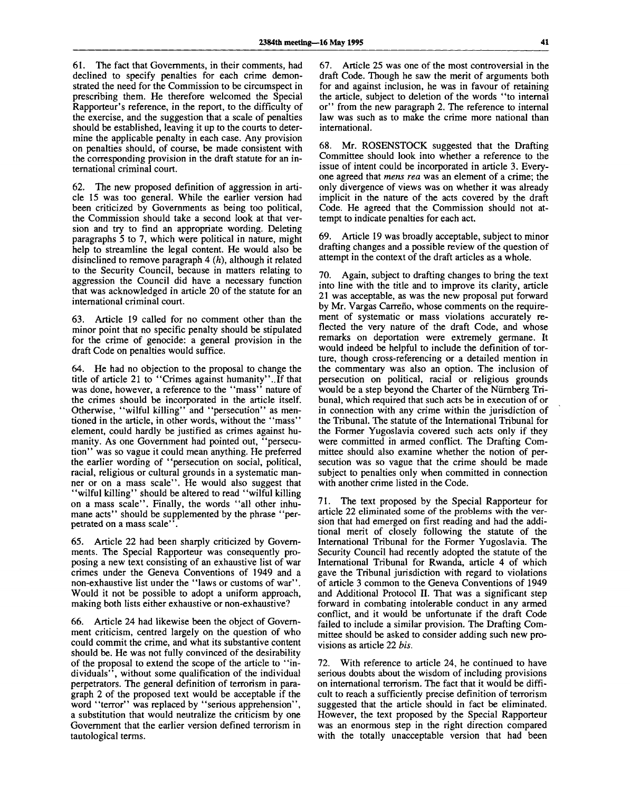61. The fact that Governments, in their comments, had declined to specify penalties for each crime demonstrated the need for the Commission to be circumspect in prescribing them. He therefore welcomed the Special Rapporteur's reference, in the report, to the difficulty of the exercise, and the suggestion that a scale of penalties should be established, leaving it up to the courts to determine the applicable penalty in each case. Any provision on penalties should, of course, be made consistent with the corresponding provision in the draft statute for an international criminal court.

62. The new proposed definition of aggression in article 15 was too general. While the earlier version had been criticized by Governments as being too political, the Commission should take a second look at that version and try to find an appropriate wording. Deleting paragraphs 5 to 7, which were political in nature, might help to streamline the legal content. He would also be disinclined to remove paragraph 4 *(h),* although it related to the Security Council, because in matters relating to aggression the Council did have a necessary function that was acknowledged in article 20 of the statute for an international criminal court.

63. Article 19 called for no comment other than the minor point that no specific penalty should be stipulated for the crime of genocide: a general provision in the draft Code on penalties would suffice.

64. He had no objection to the proposal to change the title of article 21 to "Crimes against humanity "..If that was done, however, a reference to the "mass" nature of the crimes should be incorporated in the article itself. Otherwise, "wilful killing" and "persecution" as mentioned in the article, in other words, without the "mass" element, could hardly be justified as crimes against humanity. As one Government had pointed out, "persecution" was so vague it could mean anything. He preferred the earlier wording of "persecution on social, political, racial, religious or cultural grounds in a systematic manner or on a mass scale". He would also suggest that "wilful killing" should be altered to read "wilful killing on a mass scale". Finally, the words "all other inhumane acts" should be supplemented by the phrase "perpetrated on a mass scale''.

65. Article 22 had been sharply criticized by Governments. The Special Rapporteur was consequently proposing a new text consisting of an exhaustive list of war crimes under the Geneva Conventions of 1949 and a non-exhaustive list under the "laws or customs of war". Would it not be possible to adopt a uniform approach, making both lists either exhaustive or non-exhaustive?

66. Article 24 had likewise been the object of Government criticism, centred largely on the question of who could commit the crime, and what its substantive content should be. He was not fully convinced of the desirability of the proposal to extend the scope of the article to "individuals", without some qualification of the individual perpetrators. The general definition of terrorism in paragraph 2 of the proposed text would be acceptable if the word "terror" was replaced by "serious apprehension", a substitution that would neutralize the criticism by one Government that the earlier version defined terrorism in tautological terms.

67. Article 25 was one of the most controversial in the draft Code. Though he saw the merit of arguments both for and against inclusion, he was in favour of retaining the article, subject to deletion of the words "to internal or" from the new paragraph 2. The reference to internal law was such as to make the crime more national than international.

68. Mr. ROSENSTOCK suggested that the Drafting Committee should look into whether a reference to the issue of intent could be incorporated in article 3. Everyone agreed that *mens rea* was an element of a crime; the only divergence of views was on whether it was already implicit in the nature of the acts covered by the draft Code. He agreed that the Commission should not attempt to indicate penalties for each act.

69. Article 19 was broadly acceptable, subject to minor drafting changes and a possible review of the question of attempt in the context of the draft articles as a whole.

70. Again, subject to drafting changes to bring the text into line with the title and to improve its clarity, article 21 was acceptable, as was the new proposal put forward by Mr. Vargas Carrefio, whose comments on the requirement of systematic or mass violations accurately reflected the very nature of the draft Code, and whose remarks on deportation were extremely germane. It would indeed be helpful to include the definition of torture, though cross-referencing or a detailed mention in the commentary was also an option. The inclusion of persecution on political, racial or religious grounds would be a step beyond the Charter of the Nurnberg Tribunal, which required that such acts be in execution of or in connection with any crime within the jurisdiction of the Tribunal. The statute of the International Tribunal for the Former Yugoslavia covered such acts only if they were committed in armed conflict. The Drafting Committee should also examine whether the notion of persecution was so vague that the crime should be made subject to penalties only when committed in connection with another crime listed in the Code.

71. The text proposed by the Special Rapporteur for article 22 eliminated some of the problems with the version that had emerged on first reading and had the additional merit of closely following the statute of the International Tribunal for the Former Yugoslavia. The Security Council had recently adopted the statute of the International Tribunal for Rwanda, article 4 of which gave the Tribunal jurisdiction with regard to violations of article 3 common to the Geneva Conventions of 1949 and Additional Protocol II. That was a significant step forward in combating intolerable conduct in any armed conflict, and it would be unfortunate if the draft Code failed to include a similar provision. The Drafting Committee should be asked to consider adding such new provisions as article 22 *bis.*

72. With reference to article 24, he continued to have serious doubts about the wisdom of including provisions on international terrorism. The fact that it would be difficult to reach a sufficiently precise definition of terrorism suggested that the article should in fact be eliminated. However, the text proposed by the Special Rapporteur was an enormous step in the right direction compared with the totally unacceptable version that had been